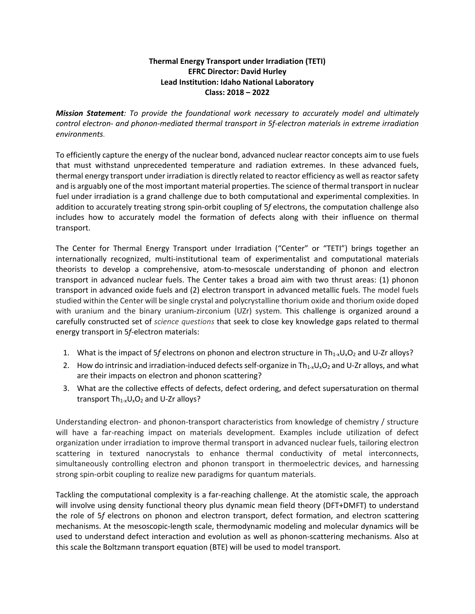## **Thermal Energy Transport under Irradiation (TETI) EFRC Director: David Hurley Lead Institution: Idaho National Laboratory Class: 2018 – 2022**

*Mission Statement: To provide the foundational work necessary to accurately model and ultimately control electron- and phonon-mediated thermal transport in 5f-electron materials in extreme irradiation environments.*

To efficiently capture the energy of the nuclear bond, advanced nuclear reactor concepts aim to use fuels that must withstand unprecedented temperature and radiation extremes. In these advanced fuels, thermal energy transport under irradiation is directly related to reactor efficiency as well as reactor safety and is arguably one of the most important material properties. The science of thermal transport in nuclear fuel under irradiation is a grand challenge due to both computational and experimental complexities. In addition to accurately treating strong spin-orbit coupling of 5*f* electrons, the computation challenge also includes how to accurately model the formation of defects along with their influence on thermal transport.

The Center for Thermal Energy Transport under Irradiation ("Center" or "TETI") brings together an internationally recognized, multi-institutional team of experimentalist and computational materials theorists to develop a comprehensive, atom-to-mesoscale understanding of phonon and electron transport in advanced nuclear fuels. The Center takes a broad aim with two thrust areas: (1) phonon transport in advanced oxide fuels and (2) electron transport in advanced metallic fuels. The model fuels studied within the Center will be single crystal and polycrystalline thorium oxide and thorium oxide doped with uranium and the binary uranium-zirconium (UZr) system. This challenge is organized around a carefully constructed set of *science questions* that seek to close key knowledge gaps related to thermal energy transport in 5*f*-electron materials:

- 1. What is the impact of 5*f* electrons on phonon and electron structure in  $Th_{1-x}U_xO_2$  and U-Zr alloys?
- 2. How do intrinsic and irradiation-induced defects self-organize in  $Th_{1-x}U_xO_2$  and U-Zr alloys, and what are their impacts on electron and phonon scattering?
- 3. What are the collective effects of defects, defect ordering, and defect supersaturation on thermal transport  $Th_{1-x}U_xO_2$  and U-Zr alloys?

Understanding electron- and phonon-transport characteristics from knowledge of chemistry / structure will have a far-reaching impact on materials development. Examples include utilization of defect organization under irradiation to improve thermal transport in advanced nuclear fuels, tailoring electron scattering in textured nanocrystals to enhance thermal conductivity of metal interconnects, simultaneously controlling electron and phonon transport in thermoelectric devices, and harnessing strong spin-orbit coupling to realize new paradigms for quantum materials.

Tackling the computational complexity is a far-reaching challenge. At the atomistic scale, the approach will involve using density functional theory plus dynamic mean field theory (DFT+DMFT) to understand the role of 5*f* electrons on phonon and electron transport, defect formation, and electron scattering mechanisms. At the mesoscopic-length scale, thermodynamic modeling and molecular dynamics will be used to understand defect interaction and evolution as well as phonon-scattering mechanisms. Also at this scale the Boltzmann transport equation (BTE) will be used to model transport.